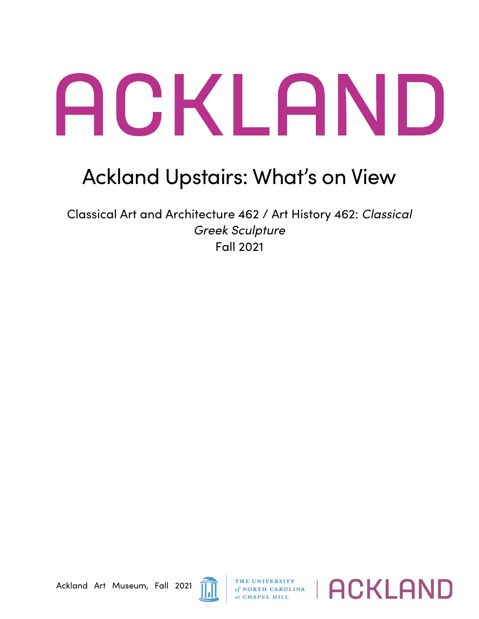## ACKLAND

## Ackland Upstairs: What's on View

Classical Art and Architecture 462 / Art History 462: *Classical Greek Sculpture* Fall 2021

Ackland Art Museum, Fall 2021



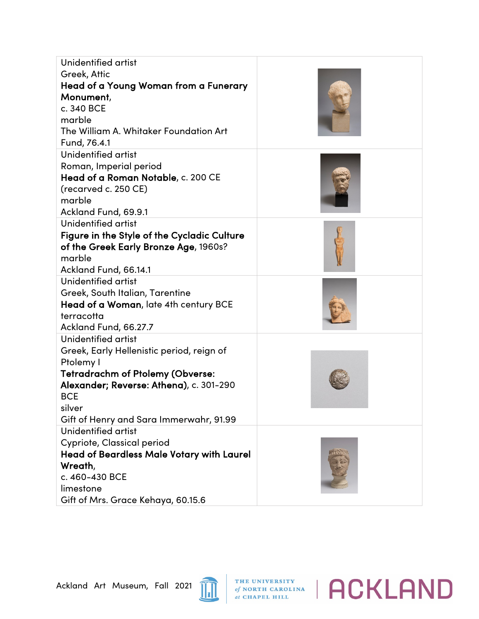| Unidentified artist                              |  |
|--------------------------------------------------|--|
| Greek, Attic                                     |  |
| Head of a Young Woman from a Funerary            |  |
| Monument,                                        |  |
| c. 340 BCE                                       |  |
| marble                                           |  |
| The William A. Whitaker Foundation Art           |  |
| Fund, 76.4.1                                     |  |
| Unidentified artist                              |  |
| Roman, Imperial period                           |  |
| Head of a Roman Notable, c. 200 CE               |  |
| (recarved c. 250 CE)                             |  |
| marble                                           |  |
| Ackland Fund, 69.9.1                             |  |
| Unidentified artist                              |  |
| Figure in the Style of the Cycladic Culture      |  |
| of the Greek Early Bronze Age, 1960s?            |  |
| marble                                           |  |
| Ackland Fund, 66.14.1                            |  |
| Unidentified artist                              |  |
| Greek, South Italian, Tarentine                  |  |
| Head of a Woman, late 4th century BCE            |  |
| terracotta                                       |  |
| Ackland Fund, 66.27.7                            |  |
| Unidentified artist                              |  |
| Greek, Early Hellenistic period, reign of        |  |
| Ptolemy I                                        |  |
| <b>Tetradrachm of Ptolemy (Obverse:</b>          |  |
| Alexander; Reverse: Athena), c. 301-290          |  |
| <b>BCE</b>                                       |  |
| silver                                           |  |
| Gift of Henry and Sara Immerwahr, 91.99          |  |
| Unidentified artist                              |  |
| <b>Cypriote, Classical period</b>                |  |
| <b>Head of Beardless Male Votary with Laurel</b> |  |
| Wreath,<br>c. 460-430 BCE                        |  |
|                                                  |  |
| limestone                                        |  |
| Gift of Mrs. Grace Kehaya, 60.15.6               |  |



THE UNIVERSITY of NORTH CAROLINA | ACKLAND